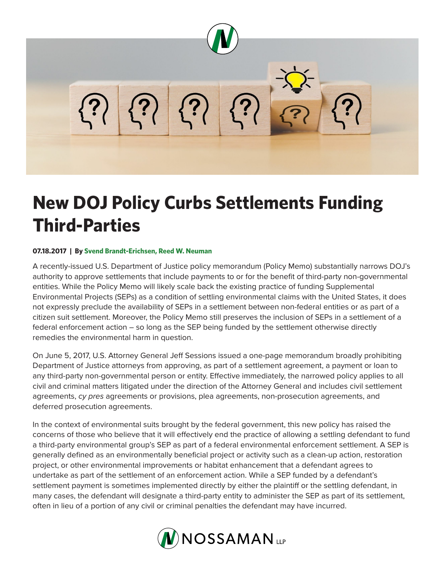

## **New DOJ Policy Curbs Settlements Funding Third-Parties**

## **07.18.2017 | By Svend Brandt-Erichsen, Reed W. Neuman**

A recently-issued U.S. Department of Justice policy memorandum (Policy Memo) substantially narrows DOJ's authority to approve settlements that include payments to or for the benefit of third-party non-governmental entities. While the Policy Memo will likely scale back the existing practice of funding Supplemental Environmental Projects (SEPs) as a condition of settling environmental claims with the United States, it does not expressly preclude the availability of SEPs in a settlement between non-federal entities or as part of a citizen suit settlement. Moreover, the Policy Memo still preserves the inclusion of SEPs in a settlement of a federal enforcement action – so long as the SEP being funded by the settlement otherwise directly remedies the environmental harm in question.

On June 5, 2017, U.S. Attorney General Jeff Sessions issued a one-page memorandum broadly prohibiting Department of Justice attorneys from approving, as part of a settlement agreement, a payment or loan to any third-party non-governmental person or entity. Effective immediately, the narrowed policy applies to all civil and criminal matters litigated under the direction of the Attorney General and includes civil settlement agreements, *cy pres* agreements or provisions, plea agreements, non-prosecution agreements, and deferred prosecution agreements.

In the context of environmental suits brought by the federal government, this new policy has raised the concerns of those who believe that it will effectively end the practice of allowing a settling defendant to fund a third-party environmental group's SEP as part of a federal environmental enforcement settlement. A SEP is generally defined as an environmentally beneficial project or activity such as a clean-up action, restoration project, or other environmental improvements or habitat enhancement that a defendant agrees to undertake as part of the settlement of an enforcement action. While a SEP funded by a defendant's settlement payment is sometimes implemented directly by either the plaintiff or the settling defendant, in many cases, the defendant will designate a third-party entity to administer the SEP as part of its settlement, often in lieu of a portion of any civil or criminal penalties the defendant may have incurred.

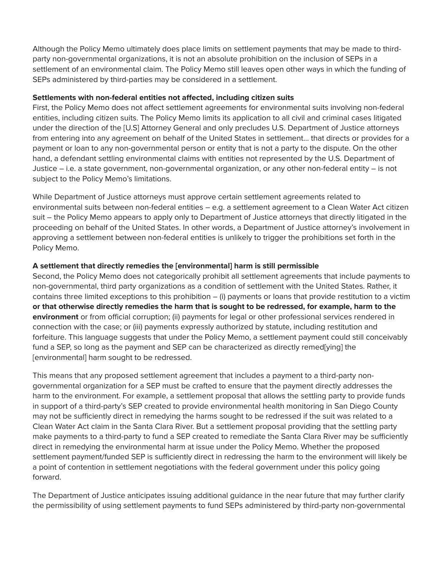Although the Policy Memo ultimately does place limits on settlement payments that may be made to thirdparty non-governmental organizations, it is not an absolute prohibition on the inclusion of SEPs in a settlement of an environmental claim. The Policy Memo still leaves open other ways in which the funding of SEPs administered by third-parties may be considered in a settlement.

## **Settlements with non-federal entities not affected, including citizen suits**

First, the Policy Memo does not affect settlement agreements for environmental suits involving non-federal entities, including citizen suits. The Policy Memo limits its application to all civil and criminal cases litigated under the direction of the [U.S] Attorney General and only precludes U.S. Department of Justice attorneys from entering into any agreement on behalf of the United States in settlement… that directs or provides for a payment or loan to any non-governmental person or entity that is not a party to the dispute. On the other hand, a defendant settling environmental claims with entities not represented by the U.S. Department of Justice – i.e. a state government, non-governmental organization, or any other non-federal entity – is not subject to the Policy Memo's limitations.

While Department of Justice attorneys must approve certain settlement agreements related to environmental suits between non-federal entities – e.g. a settlement agreement to a Clean Water Act citizen suit – the Policy Memo appears to apply only to Department of Justice attorneys that directly litigated in the proceeding on behalf of the United States. In other words, a Department of Justice attorney's involvement in approving a settlement between non-federal entities is unlikely to trigger the prohibitions set forth in the Policy Memo.

## **A settlement that directly remedies the [environmental] harm is still permissible**

Second, the Policy Memo does not categorically prohibit all settlement agreements that include payments to non-governmental, third party organizations as a condition of settlement with the United States. Rather, it contains three limited exceptions to this prohibition – (i) payments or loans that provide restitution to a victim **or that otherwise directly remedies the harm that is sought to be redressed, for example, harm to the environment** or from official corruption; (ii) payments for legal or other professional services rendered in connection with the case; or (iii) payments expressly authorized by statute, including restitution and forfeiture. This language suggests that under the Policy Memo, a settlement payment could still conceivably fund a SEP, so long as the payment and SEP can be characterized as directly remed[ying] the [environmental] harm sought to be redressed.

This means that any proposed settlement agreement that includes a payment to a third-party nongovernmental organization for a SEP must be crafted to ensure that the payment directly addresses the harm to the environment. For example, a settlement proposal that allows the settling party to provide funds in support of a third-party's SEP created to provide environmental health monitoring in San Diego County may not be sufficiently direct in remedying the harms sought to be redressed if the suit was related to a Clean Water Act claim in the Santa Clara River. But a settlement proposal providing that the settling party make payments to a third-party to fund a SEP created to remediate the Santa Clara River may be sufficiently direct in remedying the environmental harm at issue under the Policy Memo. Whether the proposed settlement payment/funded SEP is sufficiently direct in redressing the harm to the environment will likely be a point of contention in settlement negotiations with the federal government under this policy going forward.

The Department of Justice anticipates issuing additional guidance in the near future that may further clarify the permissibility of using settlement payments to fund SEPs administered by third-party non-governmental